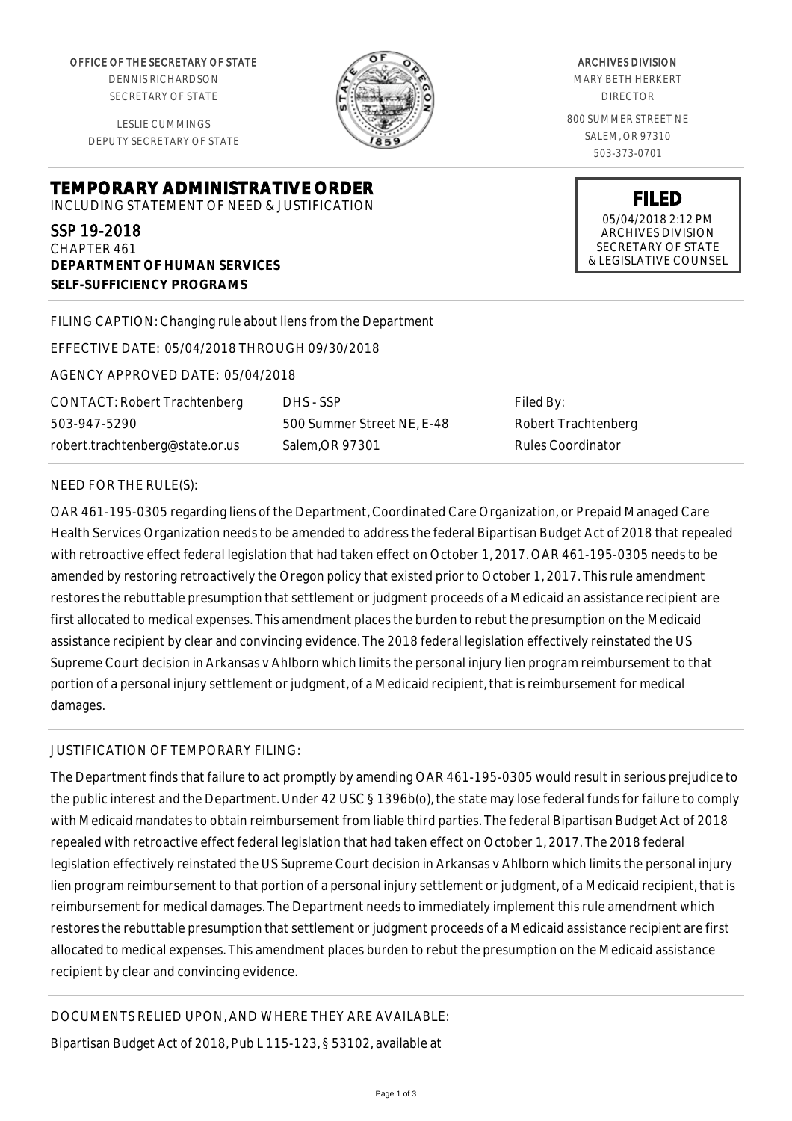OFFICE OF THE SECRETARY OF STATE

DENNIS RICHARDSON SECRETARY OF STATE

LESLIE CUMMINGS DEPUTY SECRETARY OF STATE

**DEPARTMENT OF HUMAN SERVICES**

**SELF-SUFFICIENCY PROGRAMS**



ARCHIVES DIVISION MARY BETH HERKERT DIRECTOR 800 SUMMER STREET NE SALEM, OR 97310

503-373-0701

**FILED** 05/04/2018 2:12 PM ARCHIVES DIVISION SECRETARY OF STATE & LEGISLATIVE COUNSEL

FILING CAPTION: Changing rule about liens from the Department

EFFECTIVE DATE: 05/04/2018 THROUGH 09/30/2018

**TEMPORARY ADMINISTRATIVE ORDER** INCLUDING STATEMENT OF NEED & JUSTIFICATION

AGENCY APPROVED DATE: 05/04/2018

CONTACT: Robert Trachtenberg 503-947-5290 robert.trachtenberg@state.or.us

DHS - SSP 500 Summer Street NE, E-48 Salem,OR 97301

Filed By: Robert Trachtenberg Rules Coordinator

## NEED FOR THE RULE(S):

SSP 19-2018 CHAPTER 461

OAR 461-195-0305 regarding liens of the Department, Coordinated Care Organization, or Prepaid Managed Care Health Services Organization needs to be amended to address the federal Bipartisan Budget Act of 2018 that repealed with retroactive effect federal legislation that had taken effect on October 1, 2017. OAR 461-195-0305 needs to be amended by restoring retroactively the Oregon policy that existed prior to October 1, 2017. This rule amendment restores the rebuttable presumption that settlement or judgment proceeds of a Medicaid an assistance recipient are first allocated to medical expenses. This amendment places the burden to rebut the presumption on the Medicaid assistance recipient by clear and convincing evidence. The 2018 federal legislation effectively reinstated the US Supreme Court decision in Arkansas v Ahlborn which limits the personal injury lien program reimbursement to that portion of a personal injury settlement or judgment, of a Medicaid recipient, that is reimbursement for medical damages.

## JUSTIFICATION OF TEMPORARY FILING:

The Department finds that failure to act promptly by amending OAR 461-195-0305 would result in serious prejudice to the public interest and the Department. Under 42 USC § 1396b(o), the state may lose federal funds for failure to comply with Medicaid mandates to obtain reimbursement from liable third parties. The federal Bipartisan Budget Act of 2018 repealed with retroactive effect federal legislation that had taken effect on October 1, 2017. The 2018 federal legislation effectively reinstated the US Supreme Court decision in Arkansas v Ahlborn which limits the personal injury lien program reimbursement to that portion of a personal injury settlement or judgment, of a Medicaid recipient, that is reimbursement for medical damages. The Department needs to immediately implement this rule amendment which restores the rebuttable presumption that settlement or judgment proceeds of a Medicaid assistance recipient are first allocated to medical expenses. This amendment places burden to rebut the presumption on the Medicaid assistance recipient by clear and convincing evidence.

DOCUMENTS RELIED UPON, AND WHERE THEY ARE AVAILABLE:

Bipartisan Budget Act of 2018, Pub L 115-123, § 53102, available at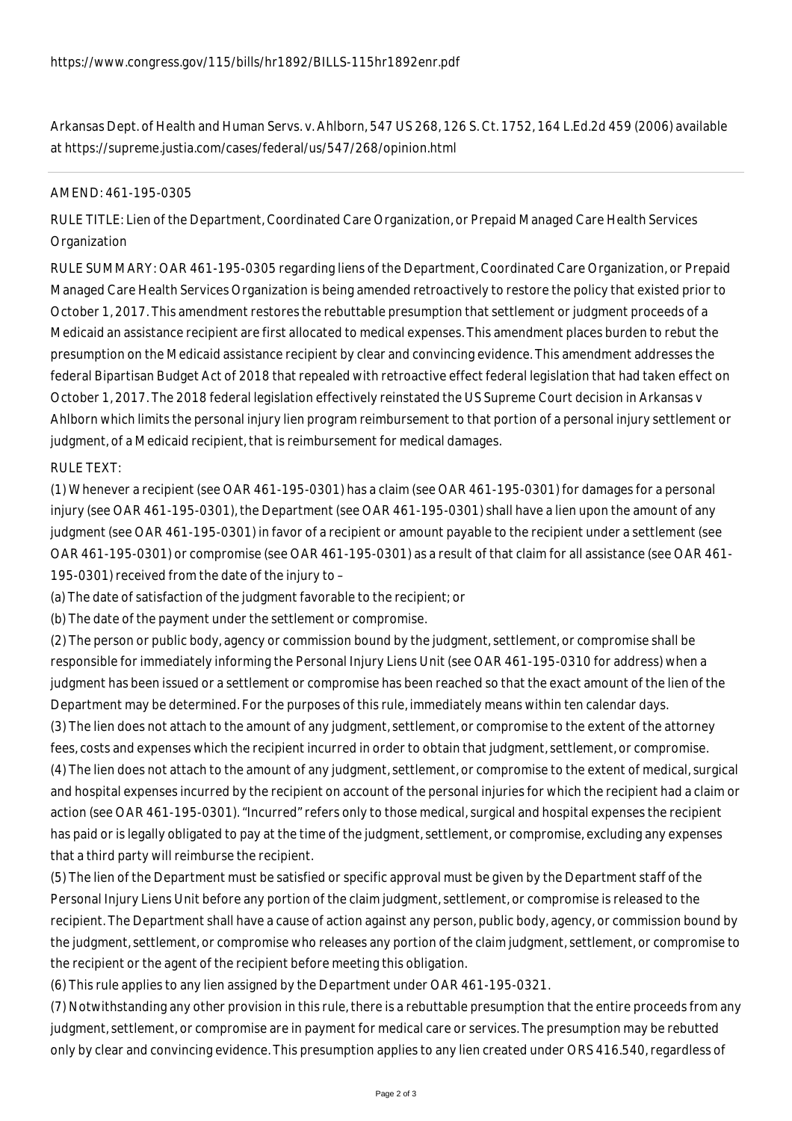Arkansas Dept. of Health and Human Servs. v. Ahlborn, 547 US 268, 126 S. Ct. 1752, 164 L.Ed.2d 459 (2006) available at https://supreme.justia.com/cases/federal/us/547/268/opinion.html

## AMEND: 461-195-0305

RULE TITLE: Lien of the Department, Coordinated Care Organization, or Prepaid Managed Care Health Services **Organization** 

RULE SUMMARY: OAR 461-195-0305 regarding liens of the Department, Coordinated Care Organization, or Prepaid Managed Care Health Services Organization is being amended retroactively to restore the policy that existed prior to October 1, 2017. This amendment restores the rebuttable presumption that settlement or judgment proceeds of a Medicaid an assistance recipient are first allocated to medical expenses. This amendment places burden to rebut the presumption on the Medicaid assistance recipient by clear and convincing evidence. This amendment addresses the federal Bipartisan Budget Act of 2018 that repealed with retroactive effect federal legislation that had taken effect on October 1, 2017. The 2018 federal legislation effectively reinstated the US Supreme Court decision in Arkansas v Ahlborn which limits the personal injury lien program reimbursement to that portion of a personal injury settlement or judgment, of a Medicaid recipient, that is reimbursement for medical damages.

## RULE TEXT:

(1) Whenever a recipient (see OAR 461-195-0301) has a claim (see OAR 461-195-0301) for damages for a personal injury (see OAR 461-195-0301), the Department (see OAR 461-195-0301) shall have a lien upon the amount of any judgment (see OAR 461-195-0301) in favor of a recipient or amount payable to the recipient under a settlement (see OAR 461-195-0301) or compromise (see OAR 461-195-0301) as a result of that claim for all assistance (see OAR 461- 195-0301) received from the date of the injury to –

(a) The date of satisfaction of the judgment favorable to the recipient; or

(b) The date of the payment under the settlement or compromise.

(2) The person or public body, agency or commission bound by the judgment, settlement, or compromise shall be responsible for immediately informing the Personal Injury Liens Unit (see OAR 461-195-0310 for address) when a judgment has been issued or a settlement or compromise has been reached so that the exact amount of the lien of the Department may be determined. For the purposes of this rule, immediately means within ten calendar days.

(3) The lien does not attach to the amount of any judgment, settlement, or compromise to the extent of the attorney fees, costs and expenses which the recipient incurred in order to obtain that judgment, settlement, or compromise. (4) The lien does not attach to the amount of any judgment, settlement, or compromise to the extent of medical, surgical and hospital expenses incurred by the recipient on account of the personal injuries for which the recipient had a claim or action (see OAR 461-195-0301). "Incurred" refers only to those medical, surgical and hospital expenses the recipient has paid or is legally obligated to pay at the time of the judgment, settlement, or compromise, excluding any expenses that a third party will reimburse the recipient.

(5) The lien of the Department must be satisfied or specific approval must be given by the Department staff of the Personal Injury Liens Unit before any portion of the claim judgment, settlement, or compromise is released to the recipient. The Department shall have a cause of action against any person, public body, agency, or commission bound by the judgment, settlement, or compromise who releases any portion of the claim judgment, settlement, or compromise to the recipient or the agent of the recipient before meeting this obligation.

(6) This rule applies to any lien assigned by the Department under OAR 461-195-0321.

(7) Notwithstanding any other provision in this rule, there is a rebuttable presumption that the entire proceeds from any judgment, settlement, or compromise are in payment for medical care or services. The presumption may be rebutted only by clear and convincing evidence. This presumption applies to any lien created under ORS 416.540, regardless of